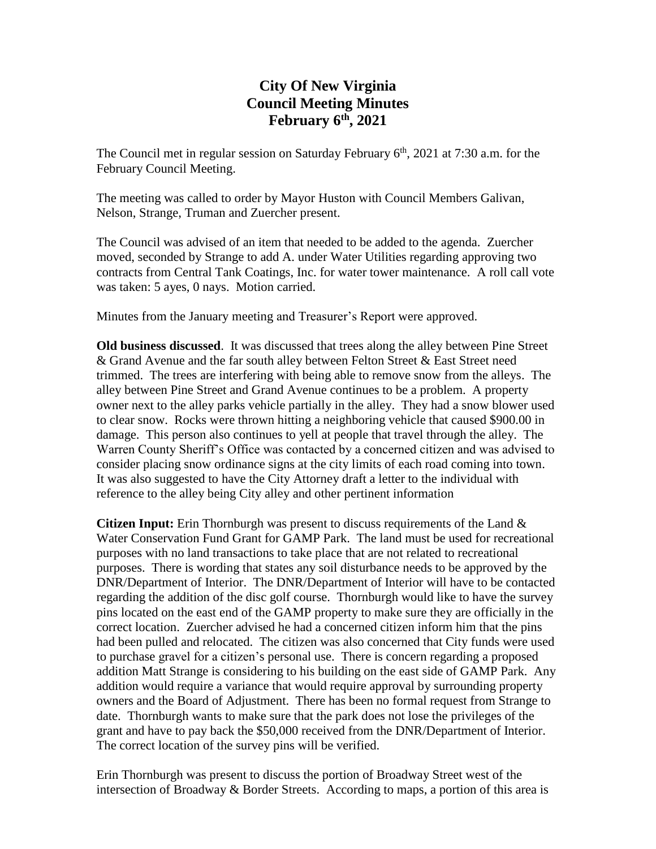# **City Of New Virginia Council Meeting Minutes February 6th , 2021**

The Council met in regular session on Saturday February  $6<sup>th</sup>$ , 2021 at 7:30 a.m. for the February Council Meeting.

The meeting was called to order by Mayor Huston with Council Members Galivan, Nelson, Strange, Truman and Zuercher present.

The Council was advised of an item that needed to be added to the agenda. Zuercher moved, seconded by Strange to add A. under Water Utilities regarding approving two contracts from Central Tank Coatings, Inc. for water tower maintenance. A roll call vote was taken: 5 ayes, 0 nays. Motion carried.

Minutes from the January meeting and Treasurer's Report were approved.

**Old business discussed**. It was discussed that trees along the alley between Pine Street & Grand Avenue and the far south alley between Felton Street & East Street need trimmed. The trees are interfering with being able to remove snow from the alleys. The alley between Pine Street and Grand Avenue continues to be a problem. A property owner next to the alley parks vehicle partially in the alley. They had a snow blower used to clear snow. Rocks were thrown hitting a neighboring vehicle that caused \$900.00 in damage. This person also continues to yell at people that travel through the alley. The Warren County Sheriff's Office was contacted by a concerned citizen and was advised to consider placing snow ordinance signs at the city limits of each road coming into town. It was also suggested to have the City Attorney draft a letter to the individual with reference to the alley being City alley and other pertinent information

**Citizen Input:** Erin Thornburgh was present to discuss requirements of the Land & Water Conservation Fund Grant for GAMP Park. The land must be used for recreational purposes with no land transactions to take place that are not related to recreational purposes. There is wording that states any soil disturbance needs to be approved by the DNR/Department of Interior. The DNR/Department of Interior will have to be contacted regarding the addition of the disc golf course. Thornburgh would like to have the survey pins located on the east end of the GAMP property to make sure they are officially in the correct location. Zuercher advised he had a concerned citizen inform him that the pins had been pulled and relocated. The citizen was also concerned that City funds were used to purchase gravel for a citizen's personal use. There is concern regarding a proposed addition Matt Strange is considering to his building on the east side of GAMP Park. Any addition would require a variance that would require approval by surrounding property owners and the Board of Adjustment. There has been no formal request from Strange to date. Thornburgh wants to make sure that the park does not lose the privileges of the grant and have to pay back the \$50,000 received from the DNR/Department of Interior. The correct location of the survey pins will be verified.

Erin Thornburgh was present to discuss the portion of Broadway Street west of the intersection of Broadway & Border Streets. According to maps, a portion of this area is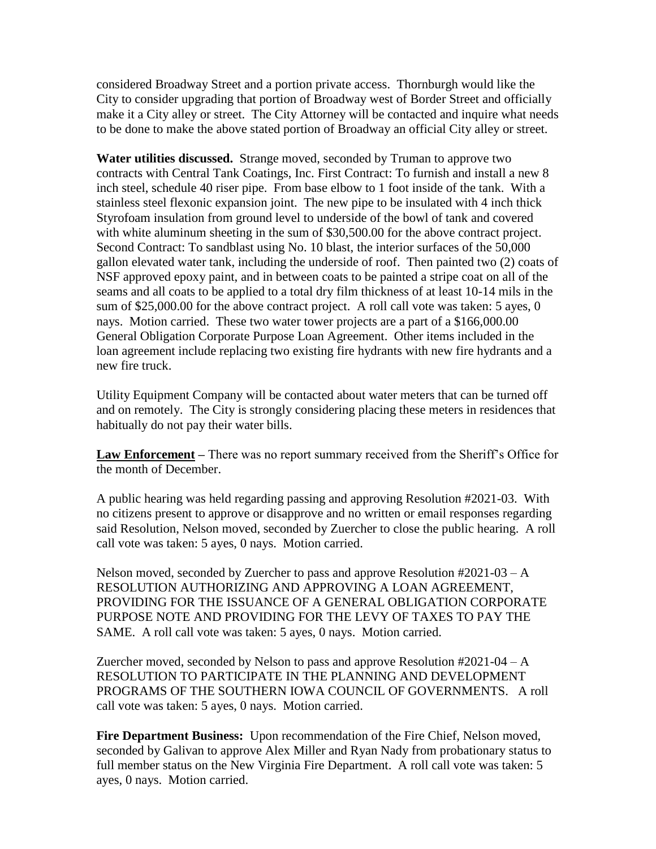considered Broadway Street and a portion private access. Thornburgh would like the City to consider upgrading that portion of Broadway west of Border Street and officially make it a City alley or street. The City Attorney will be contacted and inquire what needs to be done to make the above stated portion of Broadway an official City alley or street.

**Water utilities discussed.** Strange moved, seconded by Truman to approve two contracts with Central Tank Coatings, Inc. First Contract: To furnish and install a new 8 inch steel, schedule 40 riser pipe. From base elbow to 1 foot inside of the tank. With a stainless steel flexonic expansion joint. The new pipe to be insulated with 4 inch thick Styrofoam insulation from ground level to underside of the bowl of tank and covered with white aluminum sheeting in the sum of \$30,500.00 for the above contract project. Second Contract: To sandblast using No. 10 blast, the interior surfaces of the 50,000 gallon elevated water tank, including the underside of roof. Then painted two (2) coats of NSF approved epoxy paint, and in between coats to be painted a stripe coat on all of the seams and all coats to be applied to a total dry film thickness of at least 10-14 mils in the sum of \$25,000.00 for the above contract project. A roll call vote was taken: 5 ayes, 0 nays. Motion carried. These two water tower projects are a part of a \$166,000.00 General Obligation Corporate Purpose Loan Agreement. Other items included in the loan agreement include replacing two existing fire hydrants with new fire hydrants and a new fire truck.

Utility Equipment Company will be contacted about water meters that can be turned off and on remotely. The City is strongly considering placing these meters in residences that habitually do not pay their water bills.

**Law Enforcement –** There was no report summary received from the Sheriff's Office for the month of December.

A public hearing was held regarding passing and approving Resolution #2021-03. With no citizens present to approve or disapprove and no written or email responses regarding said Resolution, Nelson moved, seconded by Zuercher to close the public hearing. A roll call vote was taken: 5 ayes, 0 nays. Motion carried.

Nelson moved, seconded by Zuercher to pass and approve Resolution #2021-03 – A RESOLUTION AUTHORIZING AND APPROVING A LOAN AGREEMENT, PROVIDING FOR THE ISSUANCE OF A GENERAL OBLIGATION CORPORATE PURPOSE NOTE AND PROVIDING FOR THE LEVY OF TAXES TO PAY THE SAME. A roll call vote was taken: 5 ayes, 0 nays. Motion carried.

Zuercher moved, seconded by Nelson to pass and approve Resolution  $#2021-04 - A$ RESOLUTION TO PARTICIPATE IN THE PLANNING AND DEVELOPMENT PROGRAMS OF THE SOUTHERN IOWA COUNCIL OF GOVERNMENTS. A roll call vote was taken: 5 ayes, 0 nays. Motion carried.

**Fire Department Business:** Upon recommendation of the Fire Chief, Nelson moved, seconded by Galivan to approve Alex Miller and Ryan Nady from probationary status to full member status on the New Virginia Fire Department. A roll call vote was taken: 5 ayes, 0 nays. Motion carried.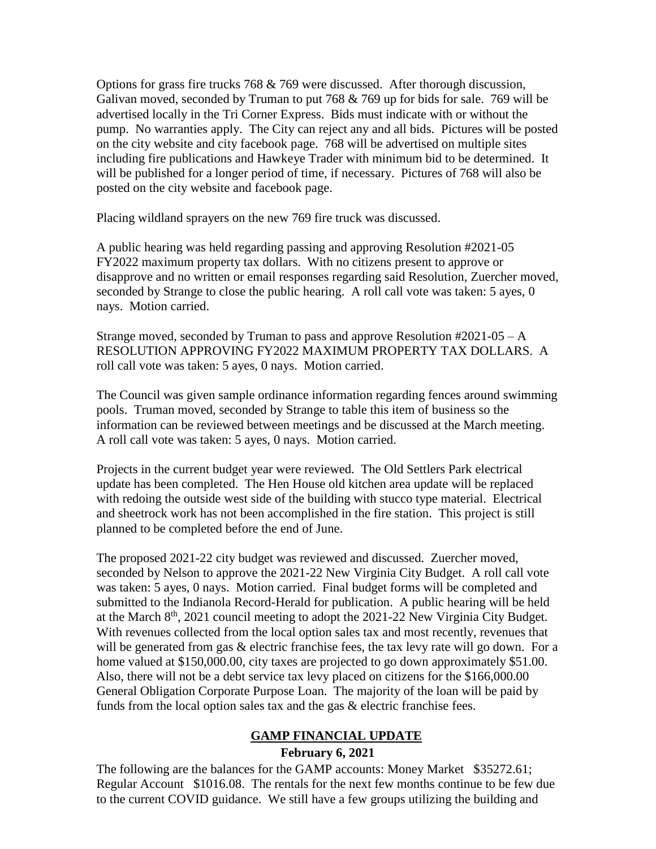Options for grass fire trucks 768 & 769 were discussed. After thorough discussion, Galivan moved, seconded by Truman to put 768 & 769 up for bids for sale. 769 will be advertised locally in the Tri Corner Express. Bids must indicate with or without the pump. No warranties apply. The City can reject any and all bids. Pictures will be posted on the city website and city facebook page. 768 will be advertised on multiple sites including fire publications and Hawkeye Trader with minimum bid to be determined. It will be published for a longer period of time, if necessary. Pictures of 768 will also be posted on the city website and facebook page.

Placing wildland sprayers on the new 769 fire truck was discussed.

A public hearing was held regarding passing and approving Resolution #2021-05 FY2022 maximum property tax dollars. With no citizens present to approve or disapprove and no written or email responses regarding said Resolution, Zuercher moved, seconded by Strange to close the public hearing. A roll call vote was taken: 5 ayes, 0 nays. Motion carried.

Strange moved, seconded by Truman to pass and approve Resolution #2021-05 – A RESOLUTION APPROVING FY2022 MAXIMUM PROPERTY TAX DOLLARS. A roll call vote was taken: 5 ayes, 0 nays. Motion carried.

The Council was given sample ordinance information regarding fences around swimming pools. Truman moved, seconded by Strange to table this item of business so the information can be reviewed between meetings and be discussed at the March meeting. A roll call vote was taken: 5 ayes, 0 nays. Motion carried.

Projects in the current budget year were reviewed. The Old Settlers Park electrical update has been completed. The Hen House old kitchen area update will be replaced with redoing the outside west side of the building with stucco type material. Electrical and sheetrock work has not been accomplished in the fire station. This project is still planned to be completed before the end of June.

The proposed 2021-22 city budget was reviewed and discussed. Zuercher moved, seconded by Nelson to approve the 2021-22 New Virginia City Budget. A roll call vote was taken: 5 ayes, 0 nays. Motion carried. Final budget forms will be completed and submitted to the Indianola Record-Herald for publication. A public hearing will be held at the March 8<sup>th</sup>, 2021 council meeting to adopt the 2021-22 New Virginia City Budget. With revenues collected from the local option sales tax and most recently, revenues that will be generated from gas & electric franchise fees, the tax levy rate will go down. For a home valued at \$150,000.00, city taxes are projected to go down approximately \$51.00. Also, there will not be a debt service tax levy placed on citizens for the \$166,000.00 General Obligation Corporate Purpose Loan. The majority of the loan will be paid by funds from the local option sales tax and the gas & electric franchise fees.

### **GAMP FINANCIAL UPDATE**

#### **February 6, 2021**

The following are the balances for the GAMP accounts: Money Market \$35272.61; Regular Account \$1016.08. The rentals for the next few months continue to be few due to the current COVID guidance. We still have a few groups utilizing the building and